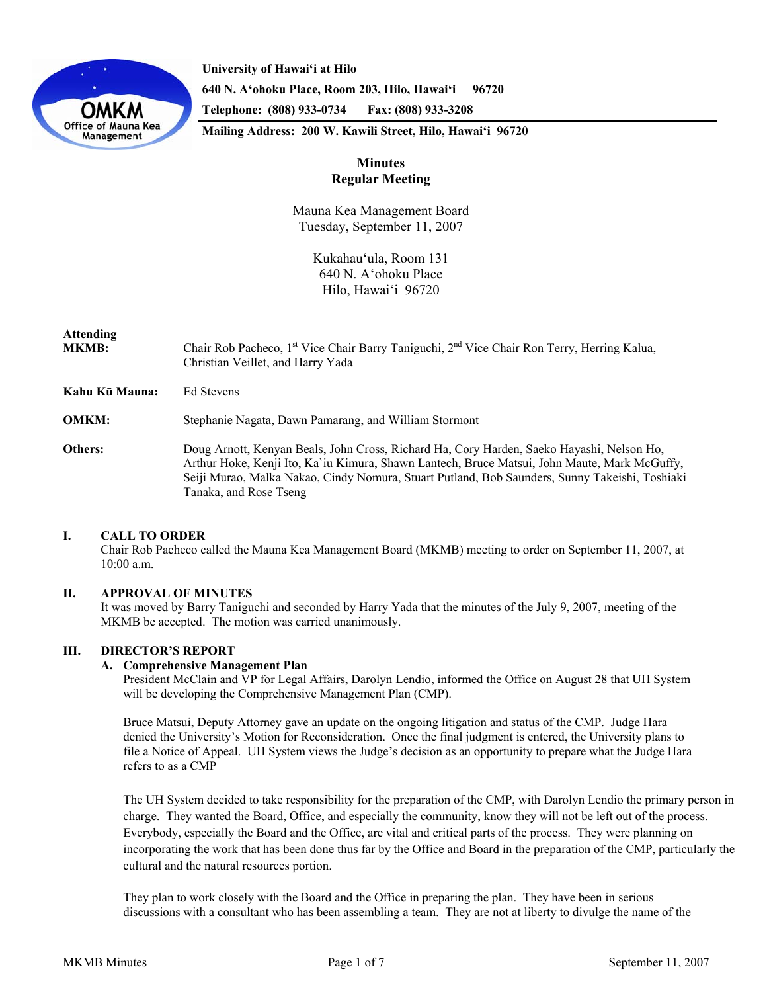

**University of Hawai'i at Hilo 640 N. A'ohoku Place, Room 203, Hilo, Hawai'i 96720 Telephone: (808) 933-0734 Fax: (808) 933-3208** 

**Mailing Address: 200 W. Kawili Street, Hilo, Hawai'i 96720** 

# **Minutes Regular Meeting**

Mauna Kea Management Board Tuesday, September 11, 2007

> Kukahau'ula, Room 131 640 N. A'ohoku Place Hilo, Hawai'i 96720

# **Attending**

- **MKMB:** Chair Rob Pacheco, 1<sup>st</sup> Vice Chair Barry Taniguchi, 2<sup>nd</sup> Vice Chair Ron Terry, Herring Kalua, Christian Veillet, and Harry Yada
- **Kahu Kū Mauna:** Ed Stevens

**OMKM:** Stephanie Nagata, Dawn Pamarang, and William Stormont

**Others:** Doug Arnott, Kenyan Beals, John Cross, Richard Ha, Cory Harden, Saeko Hayashi, Nelson Ho, Arthur Hoke, Kenji Ito, Ka`iu Kimura, Shawn Lantech, Bruce Matsui, John Maute, Mark McGuffy, Seiji Murao, Malka Nakao, Cindy Nomura, Stuart Putland, Bob Saunders, Sunny Takeishi, Toshiaki Tanaka, and Rose Tseng

# **I. CALL TO ORDER**

 Chair Rob Pacheco called the Mauna Kea Management Board (MKMB) meeting to order on September 11, 2007, at 10:00 a.m.

# **II. APPROVAL OF MINUTES**

It was moved by Barry Taniguchi and seconded by Harry Yada that the minutes of the July 9, 2007, meeting of the MKMB be accepted. The motion was carried unanimously.

# **III. DIRECTOR'S REPORT**

#### **A. Comprehensive Management Plan**

President McClain and VP for Legal Affairs, Darolyn Lendio, informed the Office on August 28 that UH System will be developing the Comprehensive Management Plan (CMP).

Bruce Matsui, Deputy Attorney gave an update on the ongoing litigation and status of the CMP. Judge Hara denied the University's Motion for Reconsideration. Once the final judgment is entered, the University plans to file a Notice of Appeal. UH System views the Judge's decision as an opportunity to prepare what the Judge Hara refers to as a CMP

The UH System decided to take responsibility for the preparation of the CMP, with Darolyn Lendio the primary person in charge. They wanted the Board, Office, and especially the community, know they will not be left out of the process. Everybody, especially the Board and the Office, are vital and critical parts of the process. They were planning on incorporating the work that has been done thus far by the Office and Board in the preparation of the CMP, particularly the cultural and the natural resources portion.

They plan to work closely with the Board and the Office in preparing the plan. They have been in serious discussions with a consultant who has been assembling a team. They are not at liberty to divulge the name of the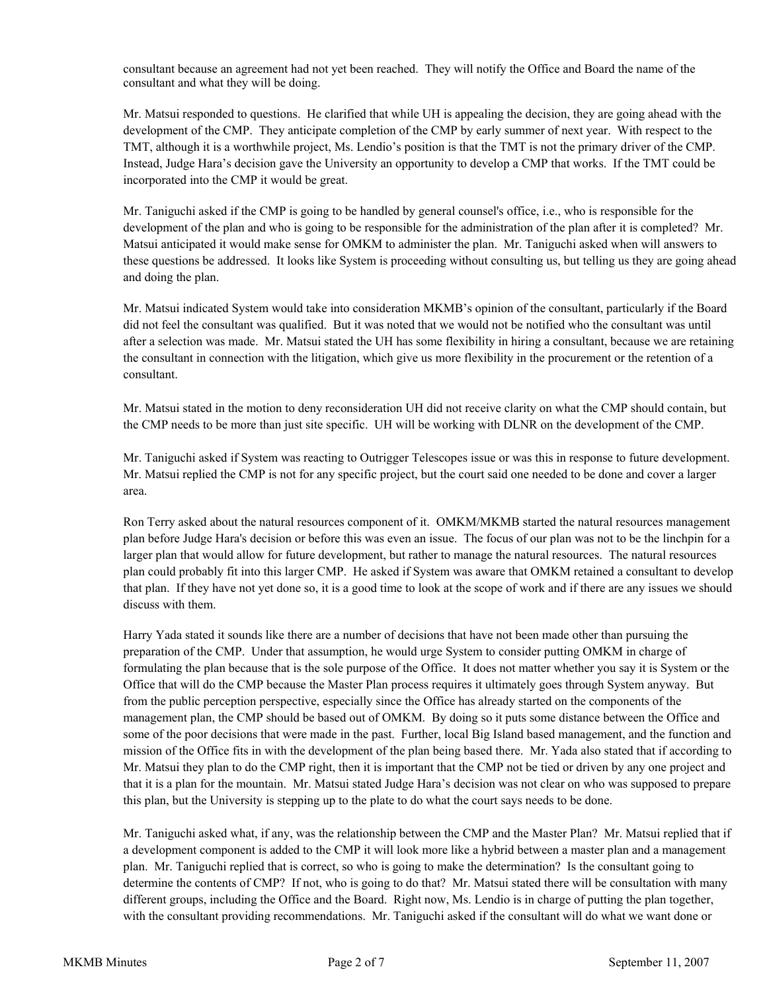consultant because an agreement had not yet been reached. They will notify the Office and Board the name of the consultant and what they will be doing.

Mr. Matsui responded to questions. He clarified that while UH is appealing the decision, they are going ahead with the development of the CMP. They anticipate completion of the CMP by early summer of next year. With respect to the TMT, although it is a worthwhile project, Ms. Lendio's position is that the TMT is not the primary driver of the CMP. Instead, Judge Hara's decision gave the University an opportunity to develop a CMP that works. If the TMT could be incorporated into the CMP it would be great.

Mr. Taniguchi asked if the CMP is going to be handled by general counsel's office, i.e., who is responsible for the development of the plan and who is going to be responsible for the administration of the plan after it is completed? Mr. Matsui anticipated it would make sense for OMKM to administer the plan. Mr. Taniguchi asked when will answers to these questions be addressed. It looks like System is proceeding without consulting us, but telling us they are going ahead and doing the plan.

Mr. Matsui indicated System would take into consideration MKMB's opinion of the consultant, particularly if the Board did not feel the consultant was qualified. But it was noted that we would not be notified who the consultant was until after a selection was made. Mr. Matsui stated the UH has some flexibility in hiring a consultant, because we are retaining the consultant in connection with the litigation, which give us more flexibility in the procurement or the retention of a consultant.

Mr. Matsui stated in the motion to deny reconsideration UH did not receive clarity on what the CMP should contain, but the CMP needs to be more than just site specific. UH will be working with DLNR on the development of the CMP.

Mr. Taniguchi asked if System was reacting to Outrigger Telescopes issue or was this in response to future development. Mr. Matsui replied the CMP is not for any specific project, but the court said one needed to be done and cover a larger area.

Ron Terry asked about the natural resources component of it. OMKM/MKMB started the natural resources management plan before Judge Hara's decision or before this was even an issue. The focus of our plan was not to be the linchpin for a larger plan that would allow for future development, but rather to manage the natural resources. The natural resources plan could probably fit into this larger CMP. He asked if System was aware that OMKM retained a consultant to develop that plan. If they have not yet done so, it is a good time to look at the scope of work and if there are any issues we should discuss with them.

Harry Yada stated it sounds like there are a number of decisions that have not been made other than pursuing the preparation of the CMP. Under that assumption, he would urge System to consider putting OMKM in charge of formulating the plan because that is the sole purpose of the Office. It does not matter whether you say it is System or the Office that will do the CMP because the Master Plan process requires it ultimately goes through System anyway. But from the public perception perspective, especially since the Office has already started on the components of the management plan, the CMP should be based out of OMKM. By doing so it puts some distance between the Office and some of the poor decisions that were made in the past. Further, local Big Island based management, and the function and mission of the Office fits in with the development of the plan being based there. Mr. Yada also stated that if according to Mr. Matsui they plan to do the CMP right, then it is important that the CMP not be tied or driven by any one project and that it is a plan for the mountain. Mr. Matsui stated Judge Hara's decision was not clear on who was supposed to prepare this plan, but the University is stepping up to the plate to do what the court says needs to be done.

Mr. Taniguchi asked what, if any, was the relationship between the CMP and the Master Plan? Mr. Matsui replied that if a development component is added to the CMP it will look more like a hybrid between a master plan and a management plan. Mr. Taniguchi replied that is correct, so who is going to make the determination? Is the consultant going to determine the contents of CMP? If not, who is going to do that? Mr. Matsui stated there will be consultation with many different groups, including the Office and the Board. Right now, Ms. Lendio is in charge of putting the plan together, with the consultant providing recommendations. Mr. Taniguchi asked if the consultant will do what we want done or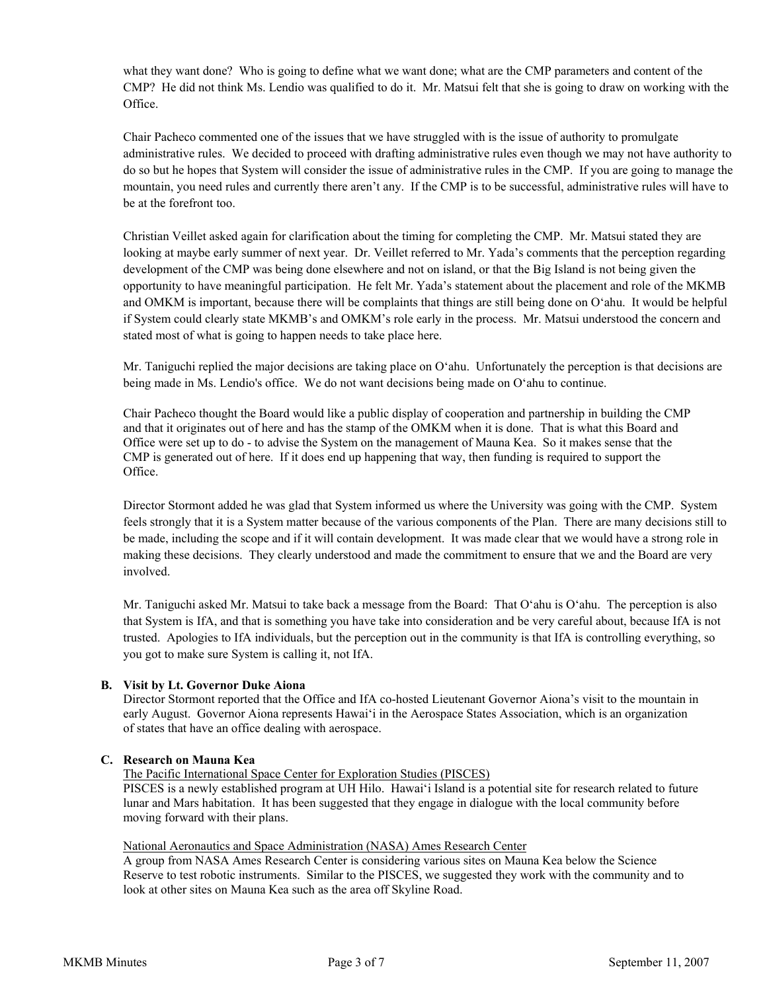what they want done? Who is going to define what we want done; what are the CMP parameters and content of the CMP? He did not think Ms. Lendio was qualified to do it. Mr. Matsui felt that she is going to draw on working with the Office.

Chair Pacheco commented one of the issues that we have struggled with is the issue of authority to promulgate administrative rules. We decided to proceed with drafting administrative rules even though we may not have authority to do so but he hopes that System will consider the issue of administrative rules in the CMP. If you are going to manage the mountain, you need rules and currently there aren't any. If the CMP is to be successful, administrative rules will have to be at the forefront too.

Christian Veillet asked again for clarification about the timing for completing the CMP. Mr. Matsui stated they are looking at maybe early summer of next year. Dr. Veillet referred to Mr. Yada's comments that the perception regarding development of the CMP was being done elsewhere and not on island, or that the Big Island is not being given the opportunity to have meaningful participation. He felt Mr. Yada's statement about the placement and role of the MKMB and OMKM is important, because there will be complaints that things are still being done on O'ahu. It would be helpful if System could clearly state MKMB's and OMKM's role early in the process. Mr. Matsui understood the concern and stated most of what is going to happen needs to take place here.

Mr. Taniguchi replied the major decisions are taking place on O'ahu. Unfortunately the perception is that decisions are being made in Ms. Lendio's office. We do not want decisions being made on O'ahu to continue.

Chair Pacheco thought the Board would like a public display of cooperation and partnership in building the CMP and that it originates out of here and has the stamp of the OMKM when it is done. That is what this Board and Office were set up to do - to advise the System on the management of Mauna Kea. So it makes sense that the CMP is generated out of here. If it does end up happening that way, then funding is required to support the Office.

Director Stormont added he was glad that System informed us where the University was going with the CMP. System feels strongly that it is a System matter because of the various components of the Plan. There are many decisions still to be made, including the scope and if it will contain development. It was made clear that we would have a strong role in making these decisions. They clearly understood and made the commitment to ensure that we and the Board are very involved.

Mr. Taniguchi asked Mr. Matsui to take back a message from the Board: That O'ahu is O'ahu. The perception is also that System is IfA, and that is something you have take into consideration and be very careful about, because IfA is not trusted. Apologies to IfA individuals, but the perception out in the community is that IfA is controlling everything, so you got to make sure System is calling it, not IfA.

#### **B. Visit by Lt. Governor Duke Aiona**

Director Stormont reported that the Office and IfA co-hosted Lieutenant Governor Aiona's visit to the mountain in early August. Governor Aiona represents Hawai'i in the Aerospace States Association, which is an organization of states that have an office dealing with aerospace.

#### **C. Research on Mauna Kea**

The Pacific International Space Center for Exploration Studies (PISCES)

 PISCES is a newly established program at UH Hilo. Hawai'i Island is a potential site for research related to future lunar and Mars habitation. It has been suggested that they engage in dialogue with the local community before moving forward with their plans.

#### National Aeronautics and Space Administration (NASA) Ames Research Center

 A group from NASA Ames Research Center is considering various sites on Mauna Kea below the Science Reserve to test robotic instruments. Similar to the PISCES, we suggested they work with the community and to look at other sites on Mauna Kea such as the area off Skyline Road.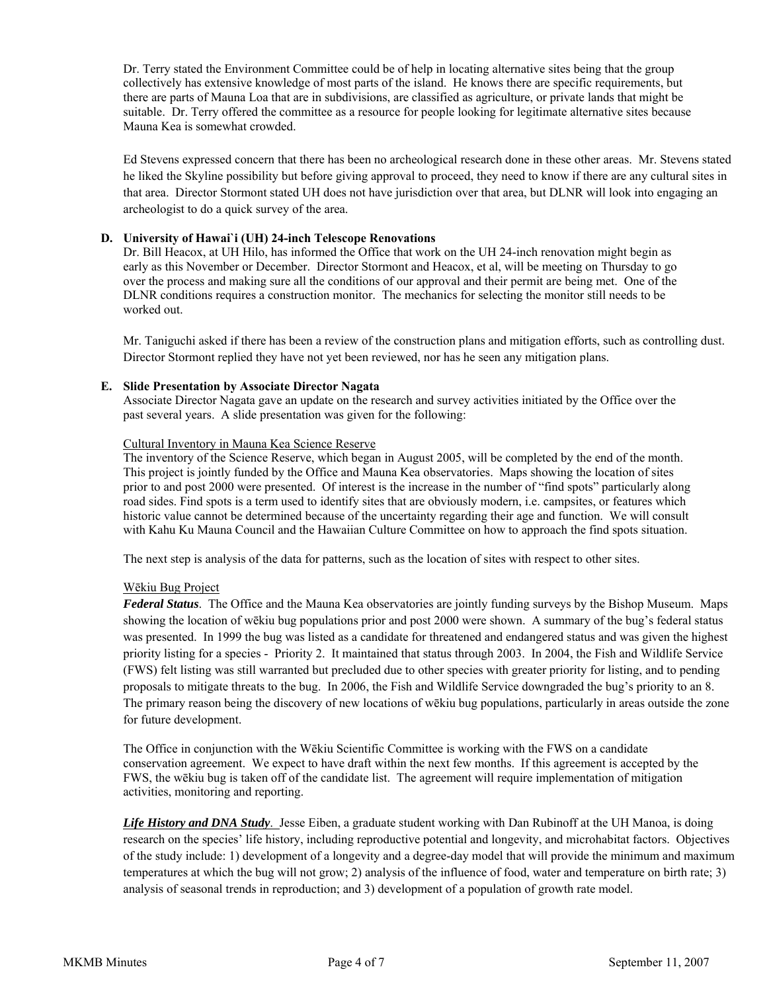Dr. Terry stated the Environment Committee could be of help in locating alternative sites being that the group collectively has extensive knowledge of most parts of the island. He knows there are specific requirements, but there are parts of Mauna Loa that are in subdivisions, are classified as agriculture, or private lands that might be suitable. Dr. Terry offered the committee as a resource for people looking for legitimate alternative sites because Mauna Kea is somewhat crowded.

Ed Stevens expressed concern that there has been no archeological research done in these other areas. Mr. Stevens stated he liked the Skyline possibility but before giving approval to proceed, they need to know if there are any cultural sites in that area. Director Stormont stated UH does not have jurisdiction over that area, but DLNR will look into engaging an archeologist to do a quick survey of the area.

## **D. University of Hawai`i (UH) 24-inch Telescope Renovations**

Dr. Bill Heacox, at UH Hilo, has informed the Office that work on the UH 24-inch renovation might begin as early as this November or December. Director Stormont and Heacox, et al, will be meeting on Thursday to go over the process and making sure all the conditions of our approval and their permit are being met. One of the DLNR conditions requires a construction monitor. The mechanics for selecting the monitor still needs to be worked out.

Mr. Taniguchi asked if there has been a review of the construction plans and mitigation efforts, such as controlling dust. Director Stormont replied they have not yet been reviewed, nor has he seen any mitigation plans.

#### **E. Slide Presentation by Associate Director Nagata**

Associate Director Nagata gave an update on the research and survey activities initiated by the Office over the past several years. A slide presentation was given for the following:

#### Cultural Inventory in Mauna Kea Science Reserve

The inventory of the Science Reserve, which began in August 2005, will be completed by the end of the month. This project is jointly funded by the Office and Mauna Kea observatories. Maps showing the location of sites prior to and post 2000 were presented. Of interest is the increase in the number of "find spots" particularly along road sides. Find spots is a term used to identify sites that are obviously modern, i.e. campsites, or features which historic value cannot be determined because of the uncertainty regarding their age and function. We will consult with Kahu Ku Mauna Council and the Hawaiian Culture Committee on how to approach the find spots situation.

The next step is analysis of the data for patterns, such as the location of sites with respect to other sites.

# Wēkiu Bug Project

*Federal Status*. The Office and the Mauna Kea observatories are jointly funding surveys by the Bishop Museum. Maps showing the location of wēkiu bug populations prior and post 2000 were shown. A summary of the bug's federal status was presented. In 1999 the bug was listed as a candidate for threatened and endangered status and was given the highest priority listing for a species - Priority 2. It maintained that status through 2003. In 2004, the Fish and Wildlife Service (FWS) felt listing was still warranted but precluded due to other species with greater priority for listing, and to pending proposals to mitigate threats to the bug. In 2006, the Fish and Wildlife Service downgraded the bug's priority to an 8. The primary reason being the discovery of new locations of wēkiu bug populations, particularly in areas outside the zone for future development.

The Office in conjunction with the Wēkiu Scientific Committee is working with the FWS on a candidate conservation agreement. We expect to have draft within the next few months. If this agreement is accepted by the FWS, the wēkiu bug is taken off of the candidate list. The agreement will require implementation of mitigation activities, monitoring and reporting.

*Life History and DNA Study*. Jesse Eiben, a graduate student working with Dan Rubinoff at the UH Manoa, is doing research on the species' life history, including reproductive potential and longevity, and microhabitat factors. Objectives of the study include: 1) development of a longevity and a degree-day model that will provide the minimum and maximum temperatures at which the bug will not grow; 2) analysis of the influence of food, water and temperature on birth rate; 3) analysis of seasonal trends in reproduction; and 3) development of a population of growth rate model.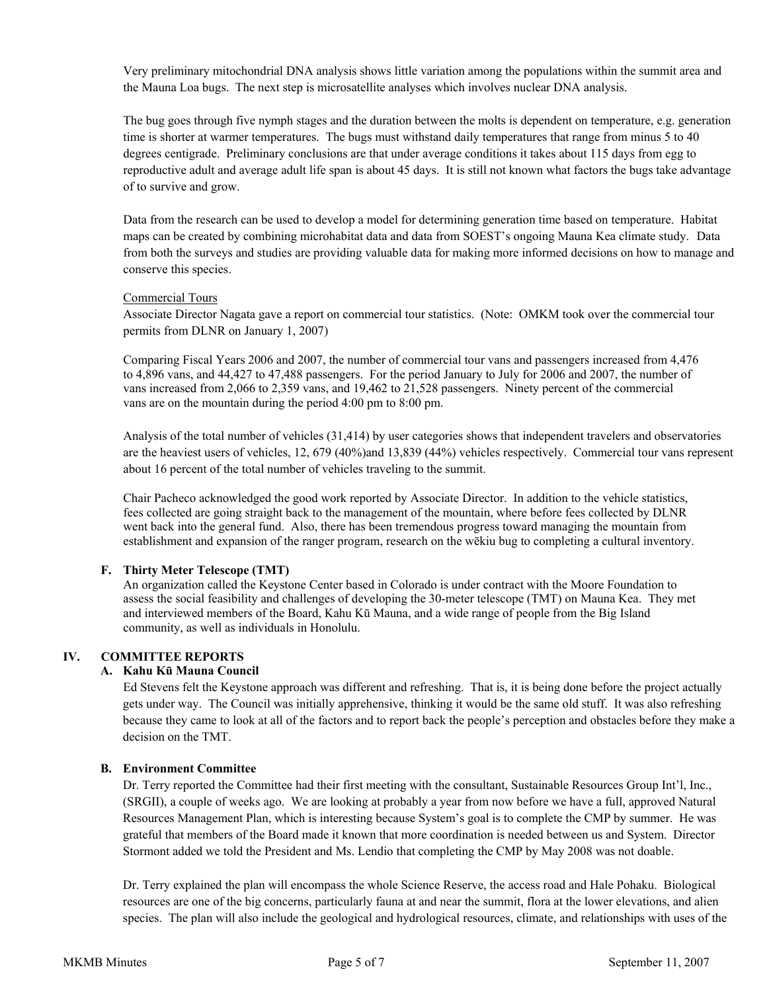Very preliminary mitochondrial DNA analysis shows little variation among the populations within the summit area and the Mauna Loa bugs. The next step is microsatellite analyses which involves nuclear DNA analysis.

The bug goes through five nymph stages and the duration between the molts is dependent on temperature, e.g. generation time is shorter at warmer temperatures. The bugs must withstand daily temperatures that range from minus 5 to 40 degrees centigrade. Preliminary conclusions are that under average conditions it takes about 115 days from egg to reproductive adult and average adult life span is about 45 days. It is still not known what factors the bugs take advantage of to survive and grow.

Data from the research can be used to develop a model for determining generation time based on temperature. Habitat maps can be created by combining microhabitat data and data from SOEST's ongoing Mauna Kea climate study. Data from both the surveys and studies are providing valuable data for making more informed decisions on how to manage and conserve this species.

#### Commercial Tours

Associate Director Nagata gave a report on commercial tour statistics. (Note: OMKM took over the commercial tour permits from DLNR on January 1, 2007)

Comparing Fiscal Years 2006 and 2007, the number of commercial tour vans and passengers increased from 4,476 to 4,896 vans, and 44,427 to 47,488 passengers. For the period January to July for 2006 and 2007, the number of vans increased from 2,066 to 2,359 vans, and 19,462 to 21,528 passengers. Ninety percent of the commercial vans are on the mountain during the period 4:00 pm to 8:00 pm.

Analysis of the total number of vehicles (31,414) by user categories shows that independent travelers and observatories are the heaviest users of vehicles, 12, 679 (40%)and 13,839 (44%) vehicles respectively. Commercial tour vans represent about 16 percent of the total number of vehicles traveling to the summit.

Chair Pacheco acknowledged the good work reported by Associate Director. In addition to the vehicle statistics, fees collected are going straight back to the management of the mountain, where before fees collected by DLNR went back into the general fund. Also, there has been tremendous progress toward managing the mountain from establishment and expansion of the ranger program, research on the wēkiu bug to completing a cultural inventory.

#### **F. Thirty Meter Telescope (TMT)**

An organization called the Keystone Center based in Colorado is under contract with the Moore Foundation to assess the social feasibility and challenges of developing the 30-meter telescope (TMT) on Mauna Kea. They met and interviewed members of the Board, Kahu Kū Mauna, and a wide range of people from the Big Island community, as well as individuals in Honolulu.

# **IV. COMMITTEE REPORTS**

#### **A. Kahu Kū Mauna Council**

Ed Stevens felt the Keystone approach was different and refreshing. That is, it is being done before the project actually gets under way. The Council was initially apprehensive, thinking it would be the same old stuff. It was also refreshing because they came to look at all of the factors and to report back the people's perception and obstacles before they make a decision on the TMT.

#### **B. Environment Committee**

Dr. Terry reported the Committee had their first meeting with the consultant, Sustainable Resources Group Int'l, Inc., (SRGII), a couple of weeks ago. We are looking at probably a year from now before we have a full, approved Natural Resources Management Plan, which is interesting because System's goal is to complete the CMP by summer. He was grateful that members of the Board made it known that more coordination is needed between us and System. Director Stormont added we told the President and Ms. Lendio that completing the CMP by May 2008 was not doable.

Dr. Terry explained the plan will encompass the whole Science Reserve, the access road and Hale Pohaku. Biological resources are one of the big concerns, particularly fauna at and near the summit, flora at the lower elevations, and alien species. The plan will also include the geological and hydrological resources, climate, and relationships with uses of the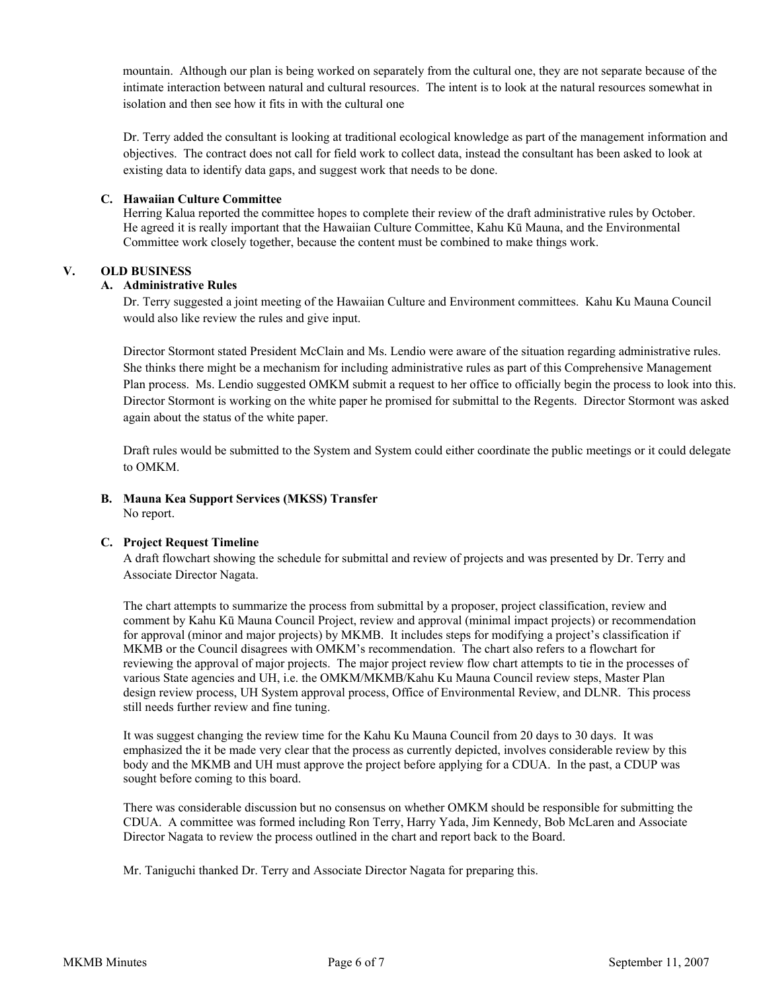mountain. Although our plan is being worked on separately from the cultural one, they are not separate because of the intimate interaction between natural and cultural resources. The intent is to look at the natural resources somewhat in isolation and then see how it fits in with the cultural one

Dr. Terry added the consultant is looking at traditional ecological knowledge as part of the management information and objectives. The contract does not call for field work to collect data, instead the consultant has been asked to look at existing data to identify data gaps, and suggest work that needs to be done.

#### **C. Hawaiian Culture Committee**

Herring Kalua reported the committee hopes to complete their review of the draft administrative rules by October. He agreed it is really important that the Hawaiian Culture Committee, Kahu Kū Mauna, and the Environmental Committee work closely together, because the content must be combined to make things work.

# **V. OLD BUSINESS**

## **A. Administrative Rules**

Dr. Terry suggested a joint meeting of the Hawaiian Culture and Environment committees. Kahu Ku Mauna Council would also like review the rules and give input.

Director Stormont stated President McClain and Ms. Lendio were aware of the situation regarding administrative rules. She thinks there might be a mechanism for including administrative rules as part of this Comprehensive Management Plan process. Ms. Lendio suggested OMKM submit a request to her office to officially begin the process to look into this. Director Stormont is working on the white paper he promised for submittal to the Regents. Director Stormont was asked again about the status of the white paper.

Draft rules would be submitted to the System and System could either coordinate the public meetings or it could delegate to OMKM.

**B. Mauna Kea Support Services (MKSS) Transfer** No report.

#### **C. Project Request Timeline**

A draft flowchart showing the schedule for submittal and review of projects and was presented by Dr. Terry and Associate Director Nagata.

The chart attempts to summarize the process from submittal by a proposer, project classification, review and comment by Kahu Kū Mauna Council Project, review and approval (minimal impact projects) or recommendation for approval (minor and major projects) by MKMB. It includes steps for modifying a project's classification if MKMB or the Council disagrees with OMKM's recommendation. The chart also refers to a flowchart for reviewing the approval of major projects. The major project review flow chart attempts to tie in the processes of various State agencies and UH, i.e. the OMKM/MKMB/Kahu Ku Mauna Council review steps, Master Plan design review process, UH System approval process, Office of Environmental Review, and DLNR. This process still needs further review and fine tuning.

It was suggest changing the review time for the Kahu Ku Mauna Council from 20 days to 30 days. It was emphasized the it be made very clear that the process as currently depicted, involves considerable review by this body and the MKMB and UH must approve the project before applying for a CDUA. In the past, a CDUP was sought before coming to this board.

There was considerable discussion but no consensus on whether OMKM should be responsible for submitting the CDUA. A committee was formed including Ron Terry, Harry Yada, Jim Kennedy, Bob McLaren and Associate Director Nagata to review the process outlined in the chart and report back to the Board.

Mr. Taniguchi thanked Dr. Terry and Associate Director Nagata for preparing this.